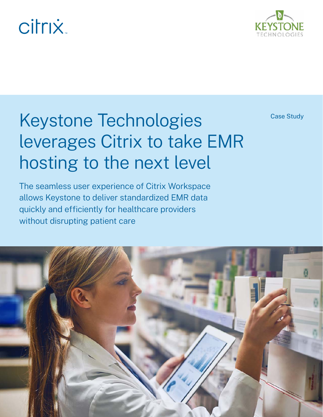# **citrix**



## Keystone Technologies **Case Study** leverages Citrix to take EMR hosting to the next level

The seamless user experience of Citrix Workspace allows Keystone to deliver standardized EMR data quickly and efficiently for healthcare providers without disrupting patient care

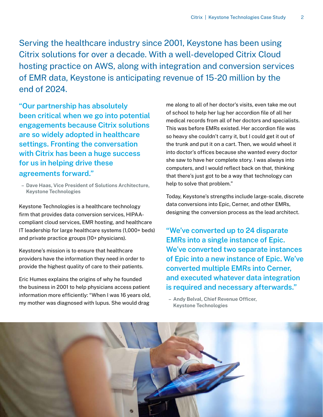Serving the healthcare industry since 2001, Keystone has been using Citrix solutions for over a decade. With a well-developed Citrix Cloud hosting practice on AWS, along with integration and conversion services of EMR data, Keystone is anticipating revenue of 15-20 million by the end of 2024.

**"Our partnership has absolutely been critical when we go into potential engagements because Citrix solutions are so widely adopted in healthcare settings. Fronting the conversation with Citrix has been a huge success for us in helping drive these agreements forward."**

**– Dave Haas, Vice President of Solutions Architecture, Keystone Technologies**

Keystone Technologies is a healthcare technology firm that provides data conversion services, HIPAAcompliant cloud services, EMR hosting, and healthcare IT leadership for large healthcare systems (1,000+ beds) and private practice groups (10+ physicians).

Keystone's mission is to ensure that healthcare providers have the information they need in order to provide the highest quality of care to their patients.

Eric Humes explains the origins of why he founded the business in 2001 to help physicians access patient information more efficiently: "When I was 16 years old, my mother was diagnosed with lupus. She would drag

me along to all of her doctor's visits, even take me out of school to help her lug her accordion file of all her medical records from all of her doctors and specialists. This was before EMRs existed. Her accordion file was so heavy she couldn't carry it, but I could get it out of the trunk and put it on a cart. Then, we would wheel it into doctor's offices because she wanted every doctor she saw to have her complete story. I was always into computers, and I would reflect back on that, thinking that there's just got to be a way that technology can help to solve that problem."

Today, Keystone's strengths include large-scale, discrete data conversions into Epic, Cerner, and other EMRs, designing the conversion process as the lead architect.

**"We've converted up to 24 disparate EMRs into a single instance of Epic. We've converted two separate instances of Epic into a new instance of Epic. We've converted multiple EMRs into Cerner, and executed whatever data integration is required and necessary afterwards."**

**– Andy Belval, Chief Revenue Officer, Keystone Technologies**

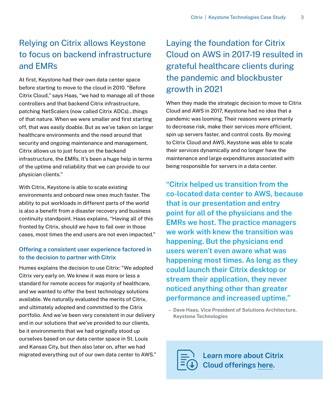### Relying on Citrix allows Keystone to focus on backend infrastructure and EMRs

At first, Keystone had their own data center space before starting to move to the cloud in 2010. "Before Citrix Cloud," says Haas, "we had to manage all of those controllers and that backend Citrix infrastructure, patching NetScalers (now called Citrix ADCs)…things of that nature. When we were smaller and first starting off, that was easily doable. But as we've taken on larger healthcare environments and the need around that security and ongoing maintenance and management, Citrix allows us to just focus on the backend infrastructure, the EMRs. It's been a huge help in terms of the uptime and reliability that we can provide to our physician clients."

With Citrix, Keystone is able to scale existing environments and onboard new ones much faster. The ability to put workloads in different parts of the world is also a benefit from a disaster recovery and business continuity standpoint. Haas explains, "Having all of this fronted by Citrix, should we have to fail over in those cases, most times the end users are not even impacted."

#### **Offering a consistent user experience factored in to the decision to partner with Citrix**

Humes explains the decision to use Citrix: "We adopted Citrix very early on. We knew it was more or less a standard for remote access for majority of healthcare, and we wanted to offer the best technology solutions available. We naturally evaluated the merits of Citrix, and ultimately adopted and committed to the Citrix portfolio. And we've been very consistent in our delivery and in our solutions that we've provided to our clients, be it environments that we had originally stood up ourselves based on our data center space in St. Louis and Kansas City, but then also later on, after we had migrated everything out of our own data center to AWS."

### Laying the foundation for Citrix Cloud on AWS in 2017-19 resulted in grateful healthcare clients during the pandemic and blockbuster growth in 2021

When they made the strategic decision to move to Citrix Cloud and AWS in 2017, Keystone had no idea that a pandemic was looming. Their reasons were primarily to decrease risk, make their services more efficient, spin up servers faster, and control costs. By moving to Citrix Cloud and AWS, Keystone was able to scale their services dynamically and no longer have the maintenance and large expenditures associated with being responsible for servers in a data center.

**"Citrix helped us transition from the co-located data center to AWS, because that is our presentation and entry point for all of the physicians and the EMRs we host. The practice managers we work with knew the transition was happening. But the physicians end users weren't even aware what was happening most times. As long as they could launch their Citrix desktop or stream their application, they never noticed anything other than greater performance and increased uptime."**

**– Dave Haas, Vice President of Solutions Architecture, Keystone Technologies**

**Learn more about Citrix Cloud offerings here.**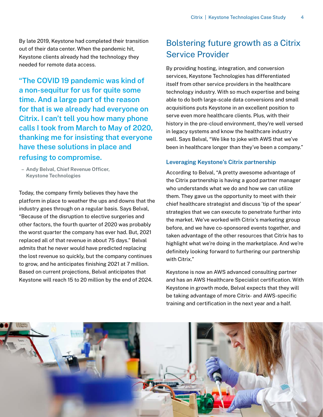By late 2019, Keystone had completed their transition out of their data center. When the pandemic hit, Keystone clients already had the technology they needed for remote data access.

**"The COVID 19 pandemic was kind of a non-sequitur for us for quite some time. And a large part of the reason for that is we already had everyone on Citrix. I can't tell you how many phone calls I took from March to May of 2020, thanking me for insisting that everyone have these solutions in place and refusing to compromise.**

**– Andy Belval, Chief Revenue Officer, Keystone Technologies**

Today, the company firmly believes they have the platform in place to weather the ups and downs that the industry goes through on a regular basis. Says Belval, "Because of the disruption to elective surgeries and other factors, the fourth quarter of 2020 was probably the worst quarter the company has ever had. But, 2021 replaced all of that revenue in about 75 days." Belval admits that he never would have predicted replacing the lost revenue so quickly, but the company continues to grow, and he anticipates finishing 2021 at 7 million. Based on current projections, Belval anticipates that Keystone will reach 15 to 20 million by the end of 2024.

#### Bolstering future growth as a Citrix Service Provider

By providing hosting, integration, and conversion services, Keystone Technologies has differentiated itself from other service providers in the healthcare technology industry. With so much expertise and being able to do both large-scale data conversions and small acquisitions puts Keystone in an excellent position to serve even more healthcare clients. Plus, with their history in the pre-cloud environment, they're well versed in legacy systems and know the healthcare industry well. Says Belval, "We like to joke with AWS that we've been in healthcare longer than they've been a company."

#### **Leveraging Keystone's Citrix partnership**

According to Belval, "A pretty awesome advantage of the Citrix partnership is having a good partner manager who understands what we do and how we can utilize them. They gave us the opportunity to meet with their chief healthcare strategist and discuss 'tip of the spear' strategies that we can execute to penetrate further into the market. We've worked with Citrix's marketing group before, and we have co-sponsored events together, and taken advantage of the other resources that Citrix has to highlight what we're doing in the marketplace. And we're definitely looking forward to furthering our partnership with Citrix."

Keystone is now an AWS advanced consulting partner and has an AWS Healthcare Specialist certification. With Keystone in growth mode, Belval expects that they will be taking advantage of more Citrix- and AWS-specific training and certification in the next year and a half.